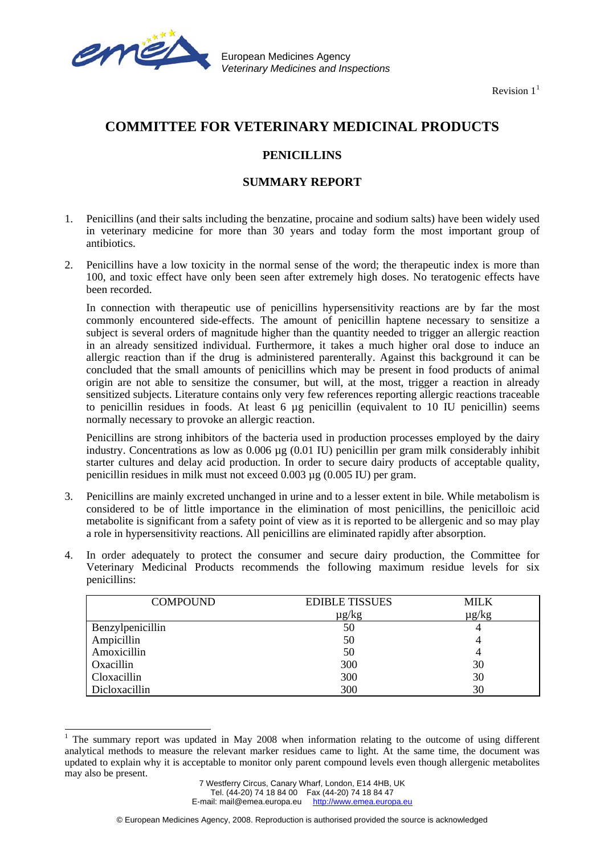

 $\overline{\phantom{a}}$ 

European Medicines Agency *Veterinary Medicines and Inspections*

Revision  $1<sup>1</sup>$  $1<sup>1</sup>$ 

## **COMMITTEE FOR VETERINARY MEDICINAL PRODUCTS**

## **PENICILLINS**

## **SUMMARY REPORT**

- 1. Penicillins (and their salts including the benzatine, procaine and sodium salts) have been widely used in veterinary medicine for more than 30 years and today form the most important group of antibiotics.
- 2. Penicillins have a low toxicity in the normal sense of the word; the therapeutic index is more than 100, and toxic effect have only been seen after extremely high doses. No teratogenic effects have been recorded.

 In connection with therapeutic use of penicillins hypersensitivity reactions are by far the most commonly encountered side-effects. The amount of penicillin haptene necessary to sensitize a subject is several orders of magnitude higher than the quantity needed to trigger an allergic reaction in an already sensitized individual. Furthermore, it takes a much higher oral dose to induce an allergic reaction than if the drug is administered parenterally. Against this background it can be concluded that the small amounts of penicillins which may be present in food products of animal origin are not able to sensitize the consumer, but will, at the most, trigger a reaction in already sensitized subjects. Literature contains only very few references reporting allergic reactions traceable to penicillin residues in foods. At least 6 µg penicillin (equivalent to 10 IU penicillin) seems normally necessary to provoke an allergic reaction.

 Penicillins are strong inhibitors of the bacteria used in production processes employed by the dairy industry. Concentrations as low as 0.006 µg (0.01 IU) penicillin per gram milk considerably inhibit starter cultures and delay acid production. In order to secure dairy products of acceptable quality, penicillin residues in milk must not exceed 0.003 µg (0.005 IU) per gram.

- 3. Penicillins are mainly excreted unchanged in urine and to a lesser extent in bile. While metabolism is considered to be of little importance in the elimination of most penicillins, the penicilloic acid metabolite is significant from a safety point of view as it is reported to be allergenic and so may play a role in hypersensitivity reactions. All penicillins are eliminated rapidly after absorption.
- 4. In order adequately to protect the consumer and secure dairy production, the Committee for Veterinary Medicinal Products recommends the following maximum residue levels for six penicillins:

| <b>COMPOUND</b>  | <b>EDIBLE TISSUES</b> | <b>MILK</b> |
|------------------|-----------------------|-------------|
|                  | $\mu$ g/kg            | $\mu$ g/kg  |
| Benzylpenicillin | 50                    |             |
| Ampicillin       | 50                    |             |
| Amoxicillin      | 50                    |             |
| Oxacillin        | 300                   | 30          |
| Cloxacillin      | 300                   | 30          |
| Dicloxacillin    | 300                   | 30          |

<span id="page-0-0"></span><sup>1</sup> The summary report was updated in May 2008 when information relating to the outcome of using different analytical methods to measure the relevant marker residues came to light. At the same time, the document was updated to explain why it is acceptable to monitor only parent compound levels even though allergenic metabolites may also be present.

E-mail: mail@emea.europa.eu http://www.emea.europa.eu

<sup>7</sup> Westferry Circus, Canary Wharf, London, E14 4HB, UK Tel. (44-20) 74 18 84 00 Fax (44-20) 74 18 84 47